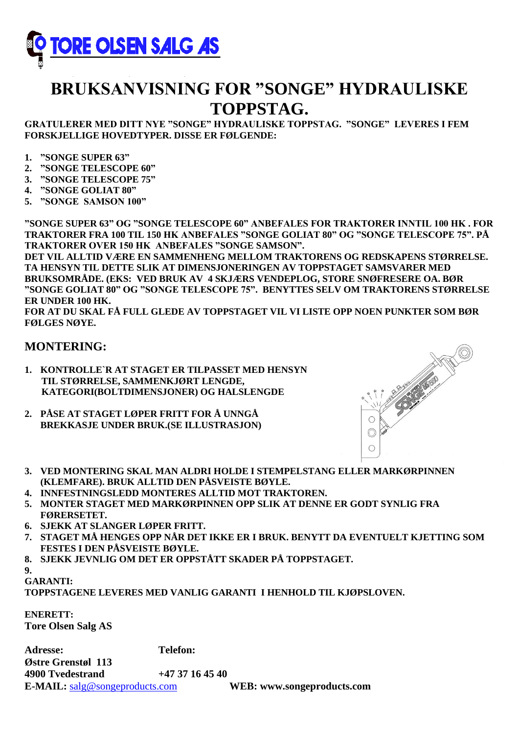

# **BRUKSANVISNING FOR "SONGE" HYDRAULISKE TOPPSTAG.**

**GRATULERER MED DITT NYE "SONGE" HYDRAULISKE TOPPSTAG. "SONGE" LEVERES I FEM FORSKJELLIGE HOVEDTYPER. DISSE ER FØLGENDE:**

- **1. "SONGE SUPER 63"**
- **2. "SONGE TELESCOPE 60"**
- **3. "SONGE TELESCOPE 75"**
- **4. "SONGE GOLIAT 80"**
- **5. "SONGE SAMSON 100"**

**"SONGE SUPER 63" OG "SONGE TELESCOPE 60" ANBEFALES FOR TRAKTORER INNTIL 100 HK . FOR TRAKTORER FRA 100 TIL 150 HK ANBEFALES "SONGE GOLIAT 80" OG "SONGE TELESCOPE 75". PÅ TRAKTORER OVER 150 HK ANBEFALES "SONGE SAMSON".**

**DET VIL ALLTID VÆRE EN SAMMENHENG MELLOM TRAKTORENS OG REDSKAPENS STØRRELSE. TA HENSYN TIL DETTE SLIK AT DIMENSJONERINGEN AV TOPPSTAGET SAMSVARER MED BRUKSOMRÅDE. (EKS: VED BRUK AV 4 SKJÆRS VENDEPLOG, STORE SNØFRESERE OA. BØR "SONGE GOLIAT 80" OG "SONGE TELESCOPE 75". BENYTTES SELV OM TRAKTORENS STØRRELSE ER UNDER 100 HK.**

**FOR AT DU SKAL FÅ FULL GLEDE AV TOPPSTAGET VIL VI LISTE OPP NOEN PUNKTER SOM BØR FØLGES NØYE.**

#### **MONTERING:**

- **1. KONTROLLE`R AT STAGET ER TILPASSET MED HENSYN TIL STØRRELSE, SAMMENKJØRT LENGDE, KATEGORI(BOLTDIMENSJONER) OG HALSLENGDE**
- **2. PÅSE AT STAGET LØPER FRITT FOR Å UNNGÅ BREKKASJE UNDER BRUK.(SE ILLUSTRASJON)**



- **3. VED MONTERING SKAL MAN ALDRI HOLDE I STEMPELSTANG ELLER MARKØRPINNEN (KLEMFARE). BRUK ALLTID DEN PÅSVEISTE BØYLE.**
- **4. INNFESTNINGSLEDD MONTERES ALLTID MOT TRAKTOREN.**
- **5. MONTER STAGET MED MARKØRPINNEN OPP SLIK AT DENNE ER GODT SYNLIG FRA FØRERSETET.**
- **6. SJEKK AT SLANGER LØPER FRITT.**
- **7. STAGET MÅ HENGES OPP NÅR DET IKKE ER I BRUK. BENYTT DA EVENTUELT KJETTING SOM FESTES I DEN PÅSVEISTE BØYLE.**
- **8. SJEKK JEVNLIG OM DET ER OPPSTÅTT SKADER PÅ TOPPSTAGET.**
- **9.**

**GARANTI:**

**TOPPSTAGENE LEVERES MED VANLIG GARANTI I HENHOLD TIL KJØPSLOVEN.**

**ENERETT: Tore Olsen Salg AS**

**Adresse: Telefon: Østre Grenstøl 113 4900 Tvedestrand +47 37 16 45 40 E-MAIL:** [salg@songeproducts.com](mailto:salg@songeproducts.com) **WEB: www.songeproducts.com**